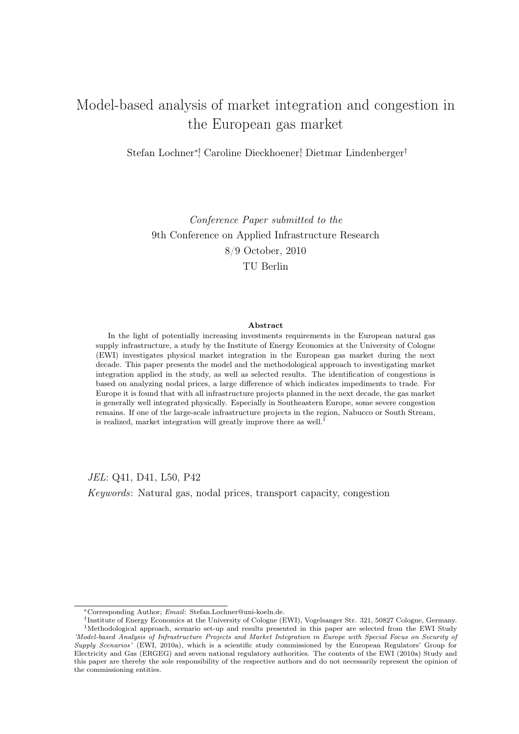# Model-based analysis of market integration and congestion in the European gas market

Stefan Lochner∗†, Caroline Dieckhoener† , Dietmar Lindenberger†

Conference Paper submitted to the 9th Conference on Applied Infrastructure Research 8/9 October, 2010 TU Berlin

#### Abstract

In the light of potentially increasing investments requirements in the European natural gas supply infrastructure, a study by the Institute of Energy Economics at the University of Cologne (EWI) investigates physical market integration in the European gas market during the next decade. This paper presents the model and the methodological approach to investigating market integration applied in the study, as well as selected results. The identification of congestions is based on analyzing nodal prices, a large difference of which indicates impediments to trade. For Europe it is found that with all infrastructure projects planned in the next decade, the gas market is generally well integrated physically. Especially in Southeastern Europe, some severe congestion remains. If one of the large-scale infrastructure projects in the region, Nabucco or South Stream, is realized, market integration will greatly improve there as well.<sup>1</sup>

JEL: Q41, D41, L50, P42

Keywords: Natural gas, nodal prices, transport capacity, congestion

<sup>∗</sup>Corresponding Author; Email: Stefan.Lochner@uni-koeln.de.

<sup>†</sup> Institute of Energy Economics at the University of Cologne (EWI), Vogelsanger Str. 321, 50827 Cologne, Germany. <sup>1</sup>Methodological approach, scenario set-up and results presented in this paper are selected from the EWI Study 'Model-based Analysis of Infrastructure Projects and Market Integration in Europe with Special Focus on Security of Supply Scenarios' (EWI, 2010a), which is a scientific study commissioned by the European Regulators' Group for Electricity and Gas (ERGEG) and seven national regulatory authorities. The contents of the EWI (2010a) Study and this paper are thereby the sole responsibility of the respective authors and do not necessarily represent the opinion of the commissioning entities.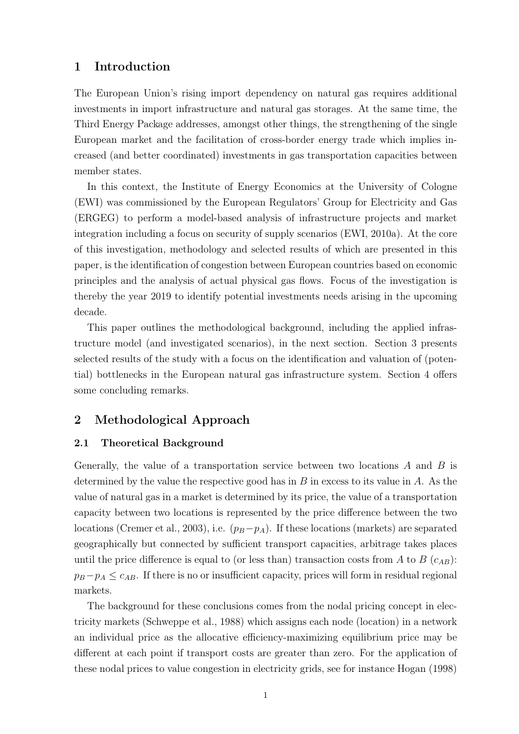#### 1 Introduction

The European Union's rising import dependency on natural gas requires additional investments in import infrastructure and natural gas storages. At the same time, the Third Energy Package addresses, amongst other things, the strengthening of the single European market and the facilitation of cross-border energy trade which implies increased (and better coordinated) investments in gas transportation capacities between member states.

In this context, the Institute of Energy Economics at the University of Cologne (EWI) was commissioned by the European Regulators' Group for Electricity and Gas (ERGEG) to perform a model-based analysis of infrastructure projects and market integration including a focus on security of supply scenarios (EWI, 2010a). At the core of this investigation, methodology and selected results of which are presented in this paper, is the identification of congestion between European countries based on economic principles and the analysis of actual physical gas flows. Focus of the investigation is thereby the year 2019 to identify potential investments needs arising in the upcoming decade.

This paper outlines the methodological background, including the applied infrastructure model (and investigated scenarios), in the next section. Section 3 presents selected results of the study with a focus on the identification and valuation of (potential) bottlenecks in the European natural gas infrastructure system. Section 4 offers some concluding remarks.

#### 2 Methodological Approach

#### 2.1 Theoretical Background

Generally, the value of a transportation service between two locations  $A$  and  $B$  is determined by the value the respective good has in  $B$  in excess to its value in  $A$ . As the value of natural gas in a market is determined by its price, the value of a transportation capacity between two locations is represented by the price difference between the two locations (Cremer et al., 2003), i.e.  $(p_B - p_A)$ . If these locations (markets) are separated geographically but connected by sufficient transport capacities, arbitrage takes places until the price difference is equal to (or less than) transaction costs from A to B  $(c_{AB})$ :  $p_B - p_A \leq c_{AB}$ . If there is no or insufficient capacity, prices will form in residual regional markets.

The background for these conclusions comes from the nodal pricing concept in electricity markets (Schweppe et al., 1988) which assigns each node (location) in a network an individual price as the allocative efficiency-maximizing equilibrium price may be different at each point if transport costs are greater than zero. For the application of these nodal prices to value congestion in electricity grids, see for instance Hogan (1998)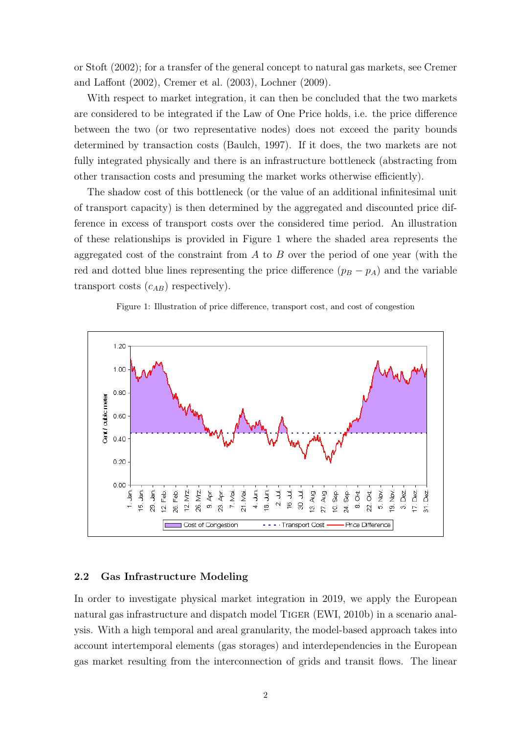or Stoft (2002); for a transfer of the general concept to natural gas markets, see Cremer and Laffont (2002), Cremer et al. (2003), Lochner (2009).

With respect to market integration, it can then be concluded that the two markets are considered to be integrated if the Law of One Price holds, i.e. the price difference between the two (or two representative nodes) does not exceed the parity bounds determined by transaction costs (Baulch, 1997). If it does, the two markets are not fully integrated physically and there is an infrastructure bottleneck (abstracting from other transaction costs and presuming the market works otherwise efficiently).

The shadow cost of this bottleneck (or the value of an additional infinitesimal unit of transport capacity) is then determined by the aggregated and discounted price difference in excess of transport costs over the considered time period. An illustration of these relationships is provided in Figure 1 where the shaded area represents the aggregated cost of the constraint from  $A$  to  $B$  over the period of one year (with the red and dotted blue lines representing the price difference  $(p_B - p_A)$  and the variable transport costs  $(c_{AB})$  respectively).

Figure 1: Illustration of price difference, transport cost, and cost of congestion



#### 2.2 Gas Infrastructure Modeling

In order to investigate physical market integration in 2019, we apply the European natural gas infrastructure and dispatch model Tiger (EWI, 2010b) in a scenario analysis. With a high temporal and areal granularity, the model-based approach takes into account intertemporal elements (gas storages) and interdependencies in the European gas market resulting from the interconnection of grids and transit flows. The linear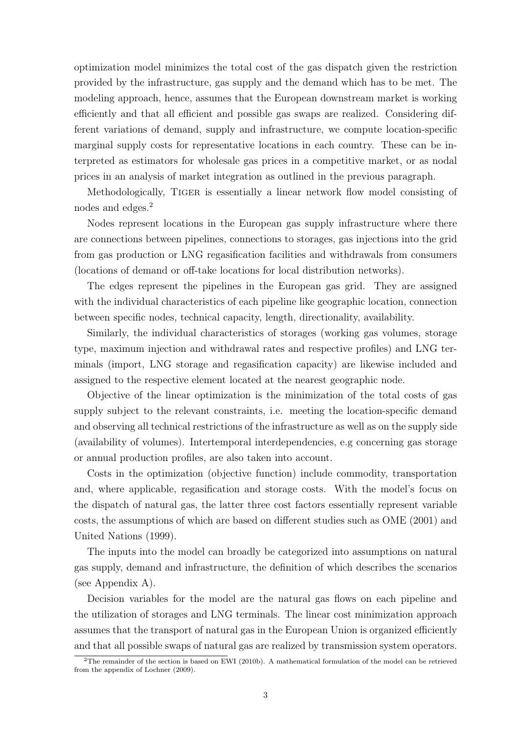optimization model minimizes the total cost of the gas dispatch given the restriction provided by the infrastructure, gas supply and the demand which has to be met. The modeling approach, hence, assumes that the European downstream market is working efficiently and that all efficient and possible gas swaps are realized. Considering different variations of demand, supply and infrastructure, we compute location-specific marginal supply costs for representative locations in each country. These can be interpreted as estimators for wholesale gas prices in a competitive market, or as nodal prices in an analysis of market integration as outlined in the previous paragraph.

Methodologically, Tiger is essentially a linear network flow model consisting of nodes and edges.<sup>2</sup>

Nodes represent locations in the European gas supply infrastructure where there are connections between pipelines, connections to storages, gas injections into the grid from gas production or LNG regasification facilities and withdrawals from consumers (locations of demand or off-take locations for local distribution networks).

The edges represent the pipelines in the European gas grid. They are assigned with the individual characteristics of each pipeline like geographic location, connection between specific nodes, technical capacity, length, directionality, availability.

Similarly, the individual characteristics of storages (working gas volumes, storage type, maximum injection and withdrawal rates and respective profiles) and LNG terminals (import, LNG storage and regasification capacity) are likewise included and assigned to the respective element located at the nearest geographic node.

Objective of the linear optimization is the minimization of the total costs of gas supply subject to the relevant constraints, i.e. meeting the location-specific demand and observing all technical restrictions of the infrastructure as well as on the supply side (availability of volumes). Intertemporal interdependencies, e.g concerning gas storage or annual production profiles, are also taken into account.

Costs in the optimization (objective function) include commodity, transportation and, where applicable, regasification and storage costs. With the model's focus on the dispatch of natural gas, the latter three cost factors essentially represent variable costs, the assumptions of which are based on different studies such as OME (2001) and United Nations (1999).

The inputs into the model can broadly be categorized into assumptions on natural gas supply, demand and infrastructure, the definition of which describes the scenarios (see Appendix A).

Decision variables for the model are the natural gas flows on each pipeline and the utilization of storages and LNG terminals. The linear cost minimization approach assumes that the transport of natural gas in the European Union is organized efficiently and that all possible swaps of natural gas are realized by transmission system operators.

<sup>2</sup>The remainder of the section is based on EWI (2010b). A mathematical formulation of the model can be retrieved from the appendix of Lochner (2009).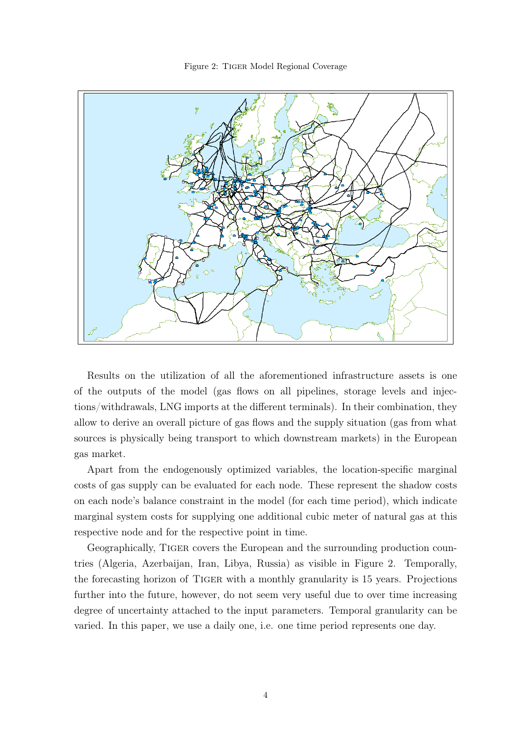Figure 2: Tiger Model Regional Coverage



Results on the utilization of all the aforementioned infrastructure assets is one of the outputs of the model (gas flows on all pipelines, storage levels and injections/withdrawals, LNG imports at the different terminals). In their combination, they allow to derive an overall picture of gas flows and the supply situation (gas from what sources is physically being transport to which downstream markets) in the European gas market.

Apart from the endogenously optimized variables, the location-specific marginal costs of gas supply can be evaluated for each node. These represent the shadow costs on each node's balance constraint in the model (for each time period), which indicate marginal system costs for supplying one additional cubic meter of natural gas at this respective node and for the respective point in time.

Geographically, Tiger covers the European and the surrounding production countries (Algeria, Azerbaijan, Iran, Libya, Russia) as visible in Figure 2. Temporally, the forecasting horizon of Tiger with a monthly granularity is 15 years. Projections further into the future, however, do not seem very useful due to over time increasing degree of uncertainty attached to the input parameters. Temporal granularity can be varied. In this paper, we use a daily one, i.e. one time period represents one day.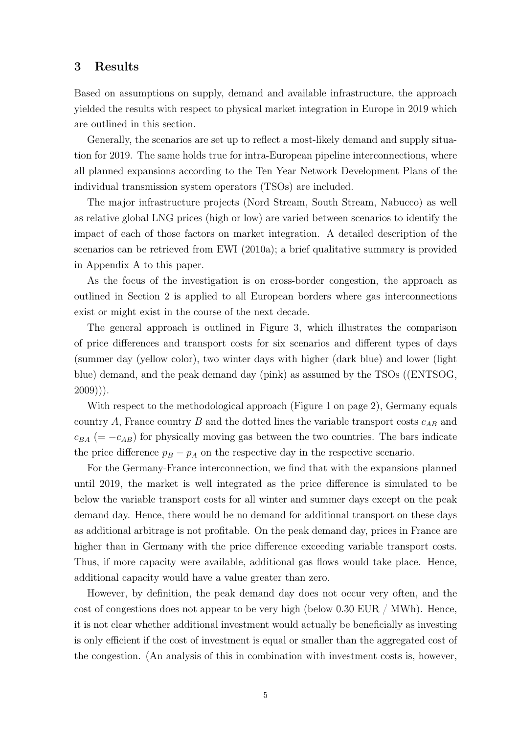#### 3 Results

Based on assumptions on supply, demand and available infrastructure, the approach yielded the results with respect to physical market integration in Europe in 2019 which are outlined in this section.

Generally, the scenarios are set up to reflect a most-likely demand and supply situation for 2019. The same holds true for intra-European pipeline interconnections, where all planned expansions according to the Ten Year Network Development Plans of the individual transmission system operators (TSOs) are included.

The major infrastructure projects (Nord Stream, South Stream, Nabucco) as well as relative global LNG prices (high or low) are varied between scenarios to identify the impact of each of those factors on market integration. A detailed description of the scenarios can be retrieved from EWI (2010a); a brief qualitative summary is provided in Appendix A to this paper.

As the focus of the investigation is on cross-border congestion, the approach as outlined in Section 2 is applied to all European borders where gas interconnections exist or might exist in the course of the next decade.

The general approach is outlined in Figure 3, which illustrates the comparison of price differences and transport costs for six scenarios and different types of days (summer day (yellow color), two winter days with higher (dark blue) and lower (light blue) demand, and the peak demand day (pink) as assumed by the TSOs ((ENTSOG,  $2009$ ))).

With respect to the methodological approach (Figure 1 on page 2), Germany equals country A, France country B and the dotted lines the variable transport costs  $c_{AB}$  and  $c_{BA}$  (=  $-c_{AB}$ ) for physically moving gas between the two countries. The bars indicate the price difference  $p_B - p_A$  on the respective day in the respective scenario.

For the Germany-France interconnection, we find that with the expansions planned until 2019, the market is well integrated as the price difference is simulated to be below the variable transport costs for all winter and summer days except on the peak demand day. Hence, there would be no demand for additional transport on these days as additional arbitrage is not profitable. On the peak demand day, prices in France are higher than in Germany with the price difference exceeding variable transport costs. Thus, if more capacity were available, additional gas flows would take place. Hence, additional capacity would have a value greater than zero.

However, by definition, the peak demand day does not occur very often, and the cost of congestions does not appear to be very high (below  $0.30$  EUR / MWh). Hence, it is not clear whether additional investment would actually be beneficially as investing is only efficient if the cost of investment is equal or smaller than the aggregated cost of the congestion. (An analysis of this in combination with investment costs is, however,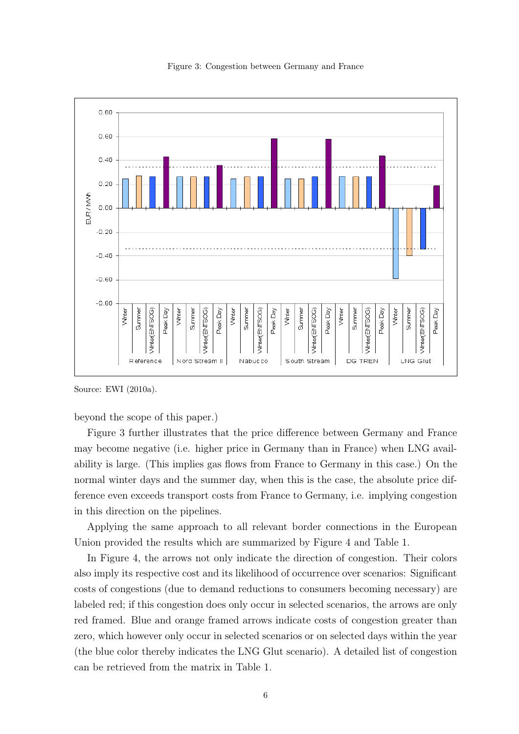

Figure 3: Congestion between Germany and France

Source: EWI (2010a).

beyond the scope of this paper.)

Figure 3 further illustrates that the price difference between Germany and France may become negative (i.e. higher price in Germany than in France) when LNG availability is large. (This implies gas flows from France to Germany in this case.) On the normal winter days and the summer day, when this is the case, the absolute price difference even exceeds transport costs from France to Germany, i.e. implying congestion in this direction on the pipelines.

Applying the same approach to all relevant border connections in the European Union provided the results which are summarized by Figure 4 and Table 1.

In Figure 4, the arrows not only indicate the direction of congestion. Their colors also imply its respective cost and its likelihood of occurrence over scenarios: Significant costs of congestions (due to demand reductions to consumers becoming necessary) are labeled red; if this congestion does only occur in selected scenarios, the arrows are only red framed. Blue and orange framed arrows indicate costs of congestion greater than zero, which however only occur in selected scenarios or on selected days within the year (the blue color thereby indicates the LNG Glut scenario). A detailed list of congestion can be retrieved from the matrix in Table 1.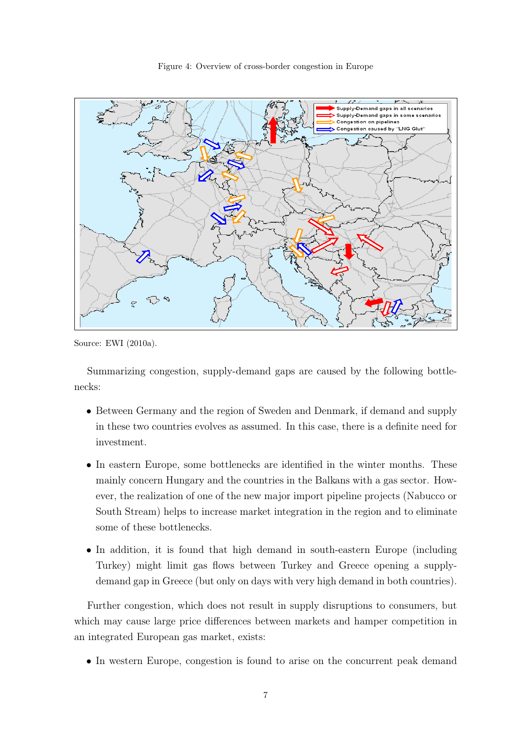

Figure 4: Overview of cross-border congestion in Europe

Source: EWI (2010a).

Summarizing congestion, supply-demand gaps are caused by the following bottlenecks:

- Between Germany and the region of Sweden and Denmark, if demand and supply in these two countries evolves as assumed. In this case, there is a definite need for investment.
- In eastern Europe, some bottlenecks are identified in the winter months. These mainly concern Hungary and the countries in the Balkans with a gas sector. However, the realization of one of the new major import pipeline projects (Nabucco or South Stream) helps to increase market integration in the region and to eliminate some of these bottlenecks.
- In addition, it is found that high demand in south-eastern Europe (including Turkey) might limit gas flows between Turkey and Greece opening a supplydemand gap in Greece (but only on days with very high demand in both countries).

Further congestion, which does not result in supply disruptions to consumers, but which may cause large price differences between markets and hamper competition in an integrated European gas market, exists:

• In western Europe, congestion is found to arise on the concurrent peak demand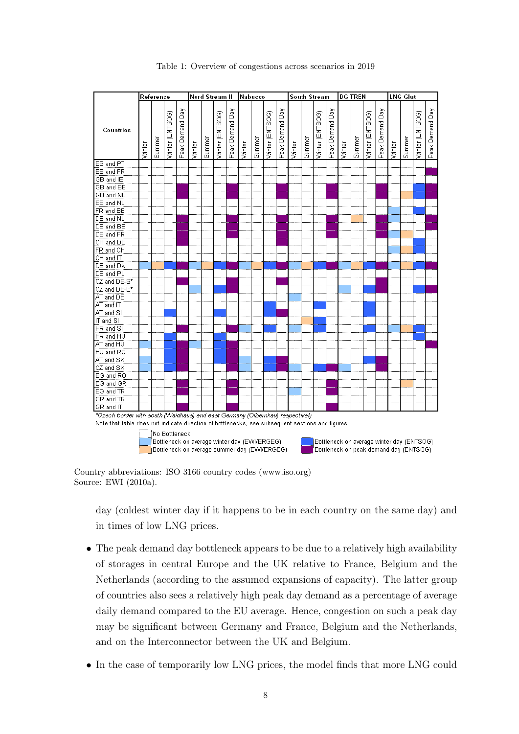

Table 1: Overview of congestions across scenarios in 2019

Country abbreviations: ISO 3166 country codes (www.iso.org) Source: EWI (2010a).

day (coldest winter day if it happens to be in each country on the same day) and in times of low LNG prices.

- The peak demand day bottleneck appears to be due to a relatively high availability of storages in central Europe and the UK relative to France, Belgium and the Netherlands (according to the assumed expansions of capacity). The latter group of countries also sees a relatively high peak day demand as a percentage of average daily demand compared to the EU average. Hence, congestion on such a peak day may be significant between Germany and France, Belgium and the Netherlands, and on the Interconnector between the UK and Belgium.
- In the case of temporarily low LNG prices, the model finds that more LNG could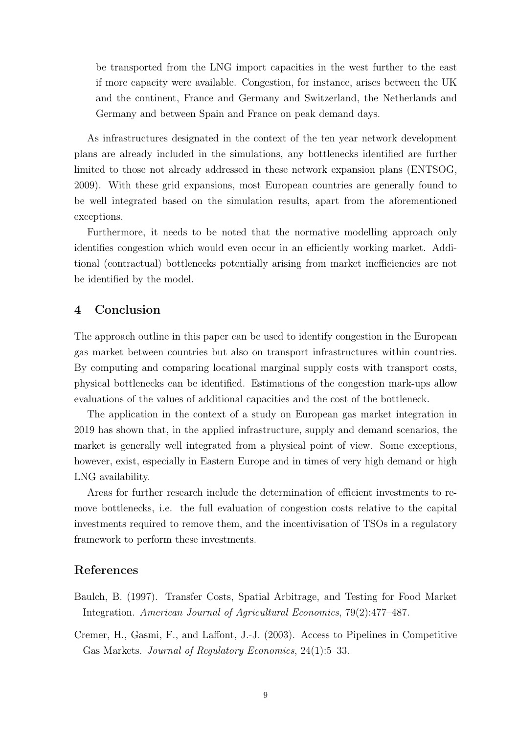be transported from the LNG import capacities in the west further to the east if more capacity were available. Congestion, for instance, arises between the UK and the continent, France and Germany and Switzerland, the Netherlands and Germany and between Spain and France on peak demand days.

As infrastructures designated in the context of the ten year network development plans are already included in the simulations, any bottlenecks identified are further limited to those not already addressed in these network expansion plans (ENTSOG, 2009). With these grid expansions, most European countries are generally found to be well integrated based on the simulation results, apart from the aforementioned exceptions.

Furthermore, it needs to be noted that the normative modelling approach only identifies congestion which would even occur in an efficiently working market. Additional (contractual) bottlenecks potentially arising from market inefficiencies are not be identified by the model.

### 4 Conclusion

The approach outline in this paper can be used to identify congestion in the European gas market between countries but also on transport infrastructures within countries. By computing and comparing locational marginal supply costs with transport costs, physical bottlenecks can be identified. Estimations of the congestion mark-ups allow evaluations of the values of additional capacities and the cost of the bottleneck.

The application in the context of a study on European gas market integration in 2019 has shown that, in the applied infrastructure, supply and demand scenarios, the market is generally well integrated from a physical point of view. Some exceptions, however, exist, especially in Eastern Europe and in times of very high demand or high LNG availability.

Areas for further research include the determination of efficient investments to remove bottlenecks, i.e. the full evaluation of congestion costs relative to the capital investments required to remove them, and the incentivisation of TSOs in a regulatory framework to perform these investments.

#### References

- Baulch, B. (1997). Transfer Costs, Spatial Arbitrage, and Testing for Food Market Integration. American Journal of Agricultural Economics, 79(2):477–487.
- Cremer, H., Gasmi, F., and Laffont, J.-J. (2003). Access to Pipelines in Competitive Gas Markets. Journal of Regulatory Economics, 24(1):5–33.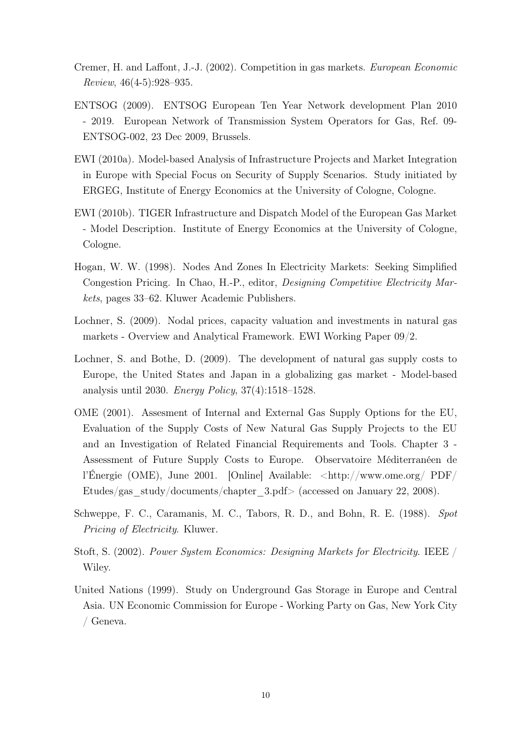- Cremer, H. and Laffont, J.-J. (2002). Competition in gas markets. European Economic Review, 46(4-5):928–935.
- ENTSOG (2009). ENTSOG European Ten Year Network development Plan 2010 - 2019. European Network of Transmission System Operators for Gas, Ref. 09- ENTSOG-002, 23 Dec 2009, Brussels.
- EWI (2010a). Model-based Analysis of Infrastructure Projects and Market Integration in Europe with Special Focus on Security of Supply Scenarios. Study initiated by ERGEG, Institute of Energy Economics at the University of Cologne, Cologne.
- EWI (2010b). TIGER Infrastructure and Dispatch Model of the European Gas Market - Model Description. Institute of Energy Economics at the University of Cologne, Cologne.
- Hogan, W. W. (1998). Nodes And Zones In Electricity Markets: Seeking Simplified Congestion Pricing. In Chao, H.-P., editor, Designing Competitive Electricity Markets, pages 33–62. Kluwer Academic Publishers.
- Lochner, S. (2009). Nodal prices, capacity valuation and investments in natural gas markets - Overview and Analytical Framework. EWI Working Paper 09/2.
- Lochner, S. and Bothe, D. (2009). The development of natural gas supply costs to Europe, the United States and Japan in a globalizing gas market - Model-based analysis until 2030. Energy Policy, 37(4):1518–1528.
- OME (2001). Assesment of Internal and External Gas Supply Options for the EU, Evaluation of the Supply Costs of New Natural Gas Supply Projects to the EU and an Investigation of Related Financial Requirements and Tools. Chapter 3 - Assessment of Future Supply Costs to Europe. Observatoire Méditerranéen de l'Énergie (OME), June 2001. [Online] Available: <http://www.ome.org/ PDF/ Etudes/gas\_study/documents/chapter\_3.pdf> (accessed on January 22, 2008).
- Schweppe, F. C., Caramanis, M. C., Tabors, R. D., and Bohn, R. E. (1988). Spot Pricing of Electricity. Kluwer.
- Stoft, S. (2002). Power System Economics: Designing Markets for Electricity. IEEE / Wiley.
- United Nations (1999). Study on Underground Gas Storage in Europe and Central Asia. UN Economic Commission for Europe - Working Party on Gas, New York City / Geneva.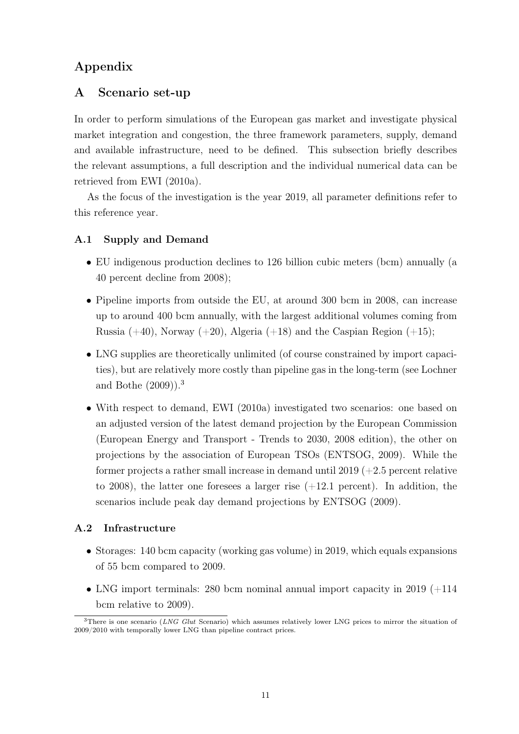# Appendix

## A Scenario set-up

In order to perform simulations of the European gas market and investigate physical market integration and congestion, the three framework parameters, supply, demand and available infrastructure, need to be defined. This subsection briefly describes the relevant assumptions, a full description and the individual numerical data can be retrieved from EWI (2010a).

As the focus of the investigation is the year 2019, all parameter definitions refer to this reference year.

#### A.1 Supply and Demand

- EU indigenous production declines to 126 billion cubic meters (bcm) annually (a 40 percent decline from 2008);
- Pipeline imports from outside the EU, at around 300 bcm in 2008, can increase up to around 400 bcm annually, with the largest additional volumes coming from Russia  $(+40)$ , Norway  $(+20)$ , Algeria  $(+18)$  and the Caspian Region  $(+15)$ ;
- LNG supplies are theoretically unlimited (of course constrained by import capacities), but are relatively more costly than pipeline gas in the long-term (see Lochner and Bothe (2009)).<sup>3</sup>
- With respect to demand, EWI (2010a) investigated two scenarios: one based on an adjusted version of the latest demand projection by the European Commission (European Energy and Transport - Trends to 2030, 2008 edition), the other on projections by the association of European TSOs (ENTSOG, 2009). While the former projects a rather small increase in demand until  $2019 (+2.5)$  percent relative to 2008), the latter one foresees a larger rise  $(+12.1$  percent). In addition, the scenarios include peak day demand projections by ENTSOG (2009).

#### A.2 Infrastructure

- Storages: 140 bcm capacity (working gas volume) in 2019, which equals expansions of 55 bcm compared to 2009.
- LNG import terminals: 280 bcm nominal annual import capacity in 2019  $(+114)$ bcm relative to 2009).

 $3$ There is one scenario (LNG Glut Scenario) which assumes relatively lower LNG prices to mirror the situation of 2009/2010 with temporally lower LNG than pipeline contract prices.